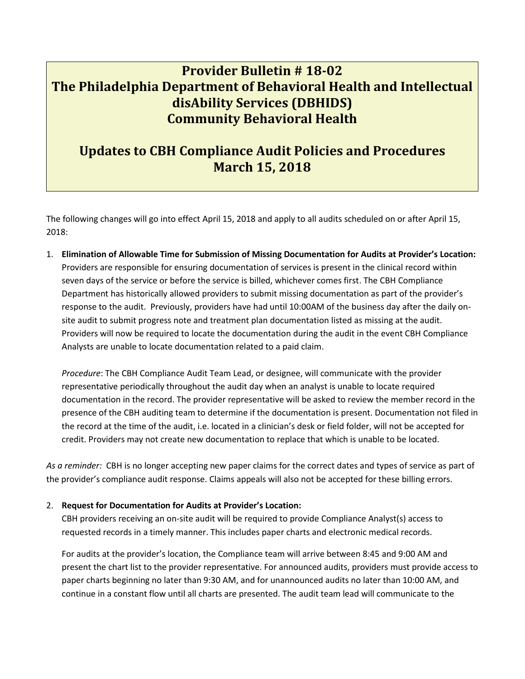# **Provider Bulletin # 18-02 The Philadelphia Department of Behavioral Health and Intellectual disAbility Services (DBHIDS) Community Behavioral Health**

## **Updates to CBH Compliance Audit Policies and Procedures March 15, 2018**

The following changes will go into effect April 15, 2018 and apply to all audits scheduled on or after April 15, 2018:

1. **Elimination of Allowable Time for Submission of Missing Documentation for Audits at Provider's Location:** Providers are responsible for ensuring documentation of services is present in the clinical record within seven days of the service or before the service is billed, whichever comes first. The CBH Compliance Department has historically allowed providers to submit missing documentation as part of the provider's response to the audit. Previously, providers have had until 10:00AM of the business day after the daily onsite audit to submit progress note and treatment plan documentation listed as missing at the audit. Providers will now be required to locate the documentation during the audit in the event CBH Compliance Analysts are unable to locate documentation related to a paid claim.

*Procedure*: The CBH Compliance Audit Team Lead, or designee, will communicate with the provider representative periodically throughout the audit day when an analyst is unable to locate required documentation in the record. The provider representative will be asked to review the member record in the presence of the CBH auditing team to determine if the documentation is present. Documentation not filed in the record at the time of the audit, i.e. located in a clinician's desk or field folder, will not be accepted for credit. Providers may not create new documentation to replace that which is unable to be located.

*As a reminder:* CBH is no longer accepting new paper claims for the correct dates and types of service as part of the provider's compliance audit response. Claims appeals will also not be accepted for these billing errors.

### 2. **Request for Documentation for Audits at Provider's Location:**

CBH providers receiving an on-site audit will be required to provide Compliance Analyst(s) access to requested records in a timely manner. This includes paper charts and electronic medical records.

For audits at the provider's location, the Compliance team will arrive between 8:45 and 9:00 AM and present the chart list to the provider representative. For announced audits, providers must provide access to paper charts beginning no later than 9:30 AM, and for unannounced audits no later than 10:00 AM, and continue in a constant flow until all charts are presented. The audit team lead will communicate to the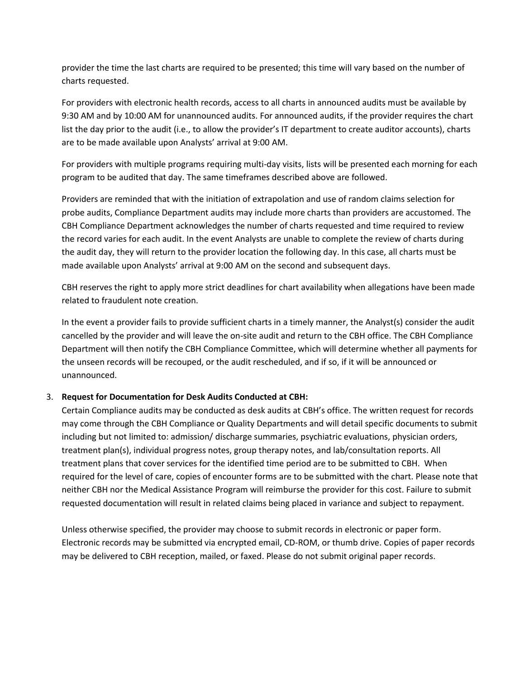provider the time the last charts are required to be presented; this time will vary based on the number of charts requested.

For providers with electronic health records, access to all charts in announced audits must be available by 9:30 AM and by 10:00 AM for unannounced audits. For announced audits, if the provider requires the chart list the day prior to the audit (i.e., to allow the provider's IT department to create auditor accounts), charts are to be made available upon Analysts' arrival at 9:00 AM.

For providers with multiple programs requiring multi-day visits, lists will be presented each morning for each program to be audited that day. The same timeframes described above are followed.

Providers are reminded that with the initiation of extrapolation and use of random claims selection for probe audits, Compliance Department audits may include more charts than providers are accustomed. The CBH Compliance Department acknowledges the number of charts requested and time required to review the record varies for each audit. In the event Analysts are unable to complete the review of charts during the audit day, they will return to the provider location the following day. In this case, all charts must be made available upon Analysts' arrival at 9:00 AM on the second and subsequent days.

CBH reserves the right to apply more strict deadlines for chart availability when allegations have been made related to fraudulent note creation.

In the event a provider fails to provide sufficient charts in a timely manner, the Analyst(s) consider the audit cancelled by the provider and will leave the on-site audit and return to the CBH office. The CBH Compliance Department will then notify the CBH Compliance Committee, which will determine whether all payments for the unseen records will be recouped, or the audit rescheduled, and if so, if it will be announced or unannounced.

### 3. **Request for Documentation for Desk Audits Conducted at CBH:**

Certain Compliance audits may be conducted as desk audits at CBH's office. The written request for records may come through the CBH Compliance or Quality Departments and will detail specific documents to submit including but not limited to: admission/ discharge summaries, psychiatric evaluations, physician orders, treatment plan(s), individual progress notes, group therapy notes, and lab/consultation reports. All treatment plans that cover services for the identified time period are to be submitted to CBH. When required for the level of care, copies of encounter forms are to be submitted with the chart. Please note that neither CBH nor the Medical Assistance Program will reimburse the provider for this cost. Failure to submit requested documentation will result in related claims being placed in variance and subject to repayment.

Unless otherwise specified, the provider may choose to submit records in electronic or paper form. Electronic records may be submitted via encrypted email, CD-ROM, or thumb drive. Copies of paper records may be delivered to CBH reception, mailed, or faxed. Please do not submit original paper records.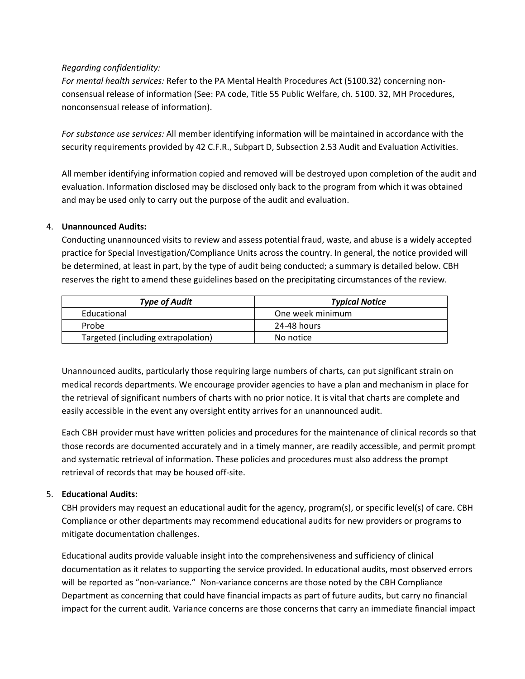## *Regarding confidentiality:*

*For mental health services:* Refer to the PA Mental Health Procedures Act (5100.32) concerning nonconsensual release of information (See: PA code, Title 55 Public Welfare, ch. 5100. 32, MH Procedures, nonconsensual release of information).

*For substance use services:* All member identifying information will be maintained in accordance with the security requirements provided by 42 C.F.R., Subpart D, Subsection 2.53 Audit and Evaluation Activities.

All member identifying information copied and removed will be destroyed upon completion of the audit and evaluation. Information disclosed may be disclosed only back to the program from which it was obtained and may be used only to carry out the purpose of the audit and evaluation.

## 4. **Unannounced Audits:**

Conducting unannounced visits to review and assess potential fraud, waste, and abuse is a widely accepted practice for Special Investigation/Compliance Units across the country. In general, the notice provided will be determined, at least in part, by the type of audit being conducted; a summary is detailed below. CBH reserves the right to amend these guidelines based on the precipitating circumstances of the review.

| <b>Type of Audit</b>               | <b>Typical Notice</b> |
|------------------------------------|-----------------------|
| Educational                        | One week minimum      |
| Probe                              | 24-48 hours           |
| Targeted (including extrapolation) | No notice             |

Unannounced audits, particularly those requiring large numbers of charts, can put significant strain on medical records departments. We encourage provider agencies to have a plan and mechanism in place for the retrieval of significant numbers of charts with no prior notice. It is vital that charts are complete and easily accessible in the event any oversight entity arrives for an unannounced audit.

Each CBH provider must have written policies and procedures for the maintenance of clinical records so that those records are documented accurately and in a timely manner, are readily accessible, and permit prompt and systematic retrieval of information. These policies and procedures must also address the prompt retrieval of records that may be housed off-site.

## 5. **Educational Audits:**

CBH providers may request an educational audit for the agency, program(s), or specific level(s) of care. CBH Compliance or other departments may recommend educational audits for new providers or programs to mitigate documentation challenges.

Educational audits provide valuable insight into the comprehensiveness and sufficiency of clinical documentation as it relates to supporting the service provided. In educational audits, most observed errors will be reported as "non-variance." Non-variance concerns are those noted by the CBH Compliance Department as concerning that could have financial impacts as part of future audits, but carry no financial impact for the current audit. Variance concerns are those concerns that carry an immediate financial impact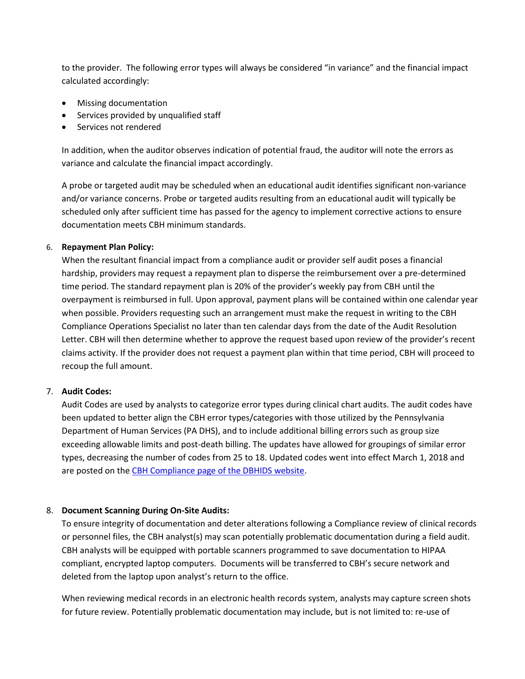to the provider. The following error types will always be considered "in variance" and the financial impact calculated accordingly:

- Missing documentation
- Services provided by unqualified staff
- Services not rendered

In addition, when the auditor observes indication of potential fraud, the auditor will note the errors as variance and calculate the financial impact accordingly.

A probe or targeted audit may be scheduled when an educational audit identifies significant non-variance and/or variance concerns. Probe or targeted audits resulting from an educational audit will typically be scheduled only after sufficient time has passed for the agency to implement corrective actions to ensure documentation meets CBH minimum standards.

### 6. **Repayment Plan Policy:**

When the resultant financial impact from a compliance audit or provider self audit poses a financial hardship, providers may request a repayment plan to disperse the reimbursement over a pre-determined time period. The standard repayment plan is 20% of the provider's weekly pay from CBH until the overpayment is reimbursed in full. Upon approval, payment plans will be contained within one calendar year when possible. Providers requesting such an arrangement must make the request in writing to the CBH Compliance Operations Specialist no later than ten calendar days from the date of the Audit Resolution Letter. CBH will then determine whether to approve the request based upon review of the provider's recent claims activity. If the provider does not request a payment plan within that time period, CBH will proceed to recoup the full amount.

### 7. **Audit Codes:**

Audit Codes are used by analysts to categorize error types during clinical chart audits. The audit codes have been updated to better align the CBH error types/categories with those utilized by the Pennsylvania Department of Human Services (PA DHS), and to include additional billing errors such as group size exceeding allowable limits and post-death billing. The updates have allowed for groupings of similar error types, decreasing the number of codes from 25 to 18. Updated codes went into effect March 1, 2018 and are posted on the [CBH Compliance page of the DBHIDS website.](https://dbhids.org/providers-seeking-information/community-behavioral-health/cbh-compliance/)

### 8. **Document Scanning During On-Site Audits:**

To ensure integrity of documentation and deter alterations following a Compliance review of clinical records or personnel files, the CBH analyst(s) may scan potentially problematic documentation during a field audit. CBH analysts will be equipped with portable scanners programmed to save documentation to HIPAA compliant, encrypted laptop computers. Documents will be transferred to CBH's secure network and deleted from the laptop upon analyst's return to the office.

When reviewing medical records in an electronic health records system, analysts may capture screen shots for future review. Potentially problematic documentation may include, but is not limited to: re-use of